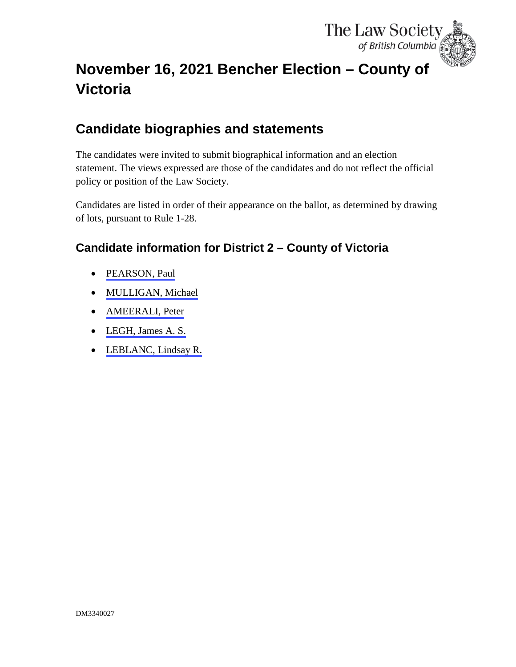

# <span id="page-0-0"></span>**November 16, 2021 Bencher Election – County of Victoria**

# **Candidate biographies and statements**

The candidates were invited to submit biographical information and an election statement. The views expressed are those of the candidates and do not reflect the official policy or position of the Law Society.

Candidates are listed in order of their appearance on the ballot, as determined by drawing of lots, pursuant to Rule 1-28.

# **Candidate information for District 2 – County of Victoria**

- [PEARSON, Paul](#page-1-0)
- [MULLIGAN, Michael](#page-4-0)
- [AMEERALI, Peter](#page-6-0)
- [LEGH, James A. S.](#page-8-0)
- [LEBLANC, Lindsay R.](#page-11-0)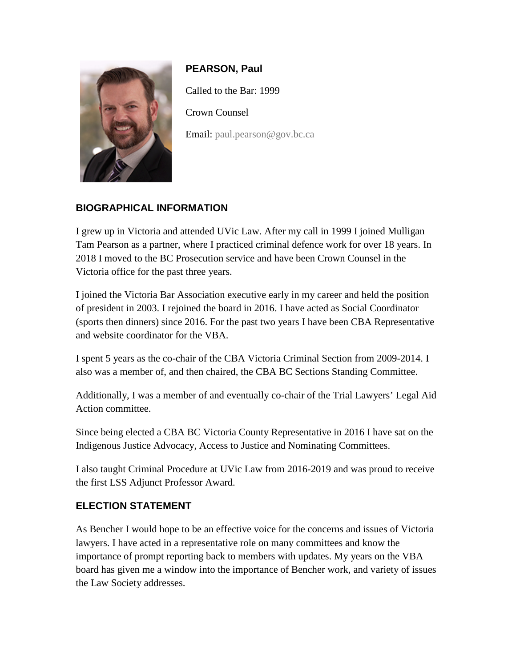<span id="page-1-0"></span>

**PEARSON, Paul** Called to the Bar: 1999 Crown Counsel Email: [paul.pearson@gov.bc.ca](mailto:paul.pearson@gov.bc.ca)

### **BIOGRAPHICAL INFORMATION**

I grew up in Victoria and attended UVic Law. After my call in 1999 I joined Mulligan Tam Pearson as a partner, where I practiced criminal defence work for over 18 years. In 2018 I moved to the BC Prosecution service and have been Crown Counsel in the Victoria office for the past three years.

I joined the Victoria Bar Association executive early in my career and held the position of president in 2003. I rejoined the board in 2016. I have acted as Social Coordinator (sports then dinners) since 2016. For the past two years I have been CBA Representative and website coordinator for the VBA.

I spent 5 years as the co-chair of the CBA Victoria Criminal Section from 2009-2014. I also was a member of, and then chaired, the CBA BC Sections Standing Committee.

Additionally, I was a member of and eventually co-chair of the Trial Lawyers' Legal Aid Action committee.

Since being elected a CBA BC Victoria County Representative in 2016 I have sat on the Indigenous Justice Advocacy, Access to Justice and Nominating Committees.

I also taught Criminal Procedure at UVic Law from 2016-2019 and was proud to receive the first LSS Adjunct Professor Award.

#### **ELECTION STATEMENT**

As Bencher I would hope to be an effective voice for the concerns and issues of Victoria lawyers. I have acted in a representative role on many committees and know the importance of prompt reporting back to members with updates. My years on the VBA board has given me a window into the importance of Bencher work, and variety of issues the Law Society addresses.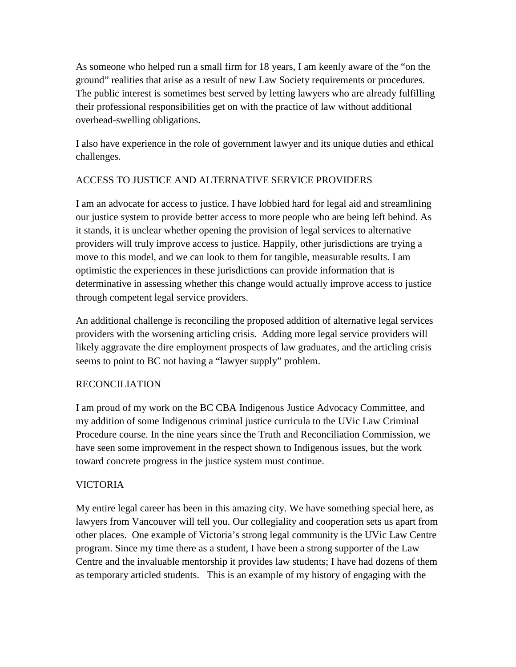As someone who helped run a small firm for 18 years, I am keenly aware of the "on the ground" realities that arise as a result of new Law Society requirements or procedures. The public interest is sometimes best served by letting lawyers who are already fulfilling their professional responsibilities get on with the practice of law without additional overhead-swelling obligations.

I also have experience in the role of government lawyer and its unique duties and ethical challenges.

### ACCESS TO JUSTICE AND ALTERNATIVE SERVICE PROVIDERS

I am an advocate for access to justice. I have lobbied hard for legal aid and streamlining our justice system to provide better access to more people who are being left behind. As it stands, it is unclear whether opening the provision of legal services to alternative providers will truly improve access to justice. Happily, other jurisdictions are trying a move to this model, and we can look to them for tangible, measurable results. I am optimistic the experiences in these jurisdictions can provide information that is determinative in assessing whether this change would actually improve access to justice through competent legal service providers.

An additional challenge is reconciling the proposed addition of alternative legal services providers with the worsening articling crisis. Adding more legal service providers will likely aggravate the dire employment prospects of law graduates, and the articling crisis seems to point to BC not having a "lawyer supply" problem.

#### RECONCILIATION

I am proud of my work on the BC CBA Indigenous Justice Advocacy Committee, and my addition of some Indigenous criminal justice curricula to the UVic Law Criminal Procedure course. In the nine years since the Truth and Reconciliation Commission, we have seen some improvement in the respect shown to Indigenous issues, but the work toward concrete progress in the justice system must continue.

#### VICTORIA

My entire legal career has been in this amazing city. We have something special here, as lawyers from Vancouver will tell you. Our collegiality and cooperation sets us apart from other places. One example of Victoria's strong legal community is the UVic Law Centre program. Since my time there as a student, I have been a strong supporter of the Law Centre and the invaluable mentorship it provides law students; I have had dozens of them as temporary articled students. This is an example of my history of engaging with the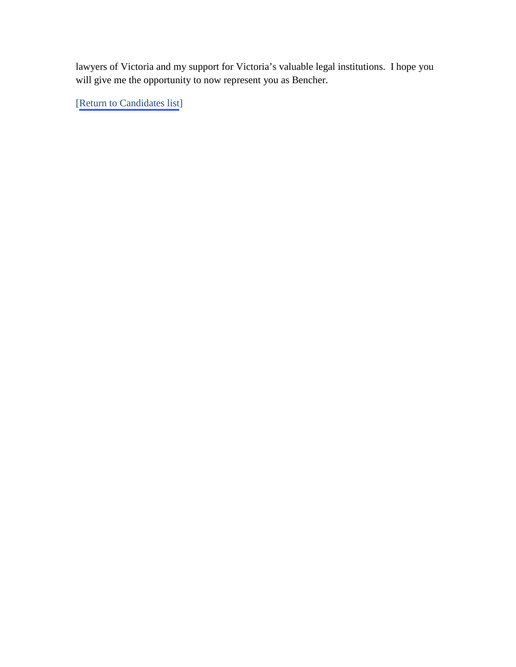lawyers of Victoria and my support for Victoria's valuable legal institutions. I hope you will give me the opportunity to now represent you as Bencher.

[[Return to Candidates list\]](#page-0-0)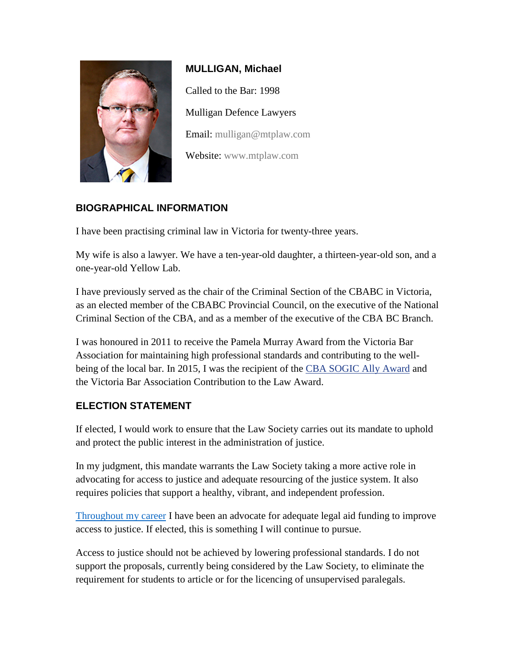<span id="page-4-0"></span>

**MULLIGAN, Michael** Called to the Bar: 1998 Mulligan Defence Lawyers Email: [mulligan@mtplaw.com](mailto:mulligan@mtplaw.com) Website: [www.mtplaw.com](http://www.mtplaw.com/)

# **BIOGRAPHICAL INFORMATION**

I have been practising criminal law in Victoria for twenty-three years.

My wife is also a lawyer. We have a ten-year-old daughter, a thirteen-year-old son, and a one-year-old Yellow Lab.

I have previously served as the chair of the Criminal Section of the CBABC in Victoria, as an elected member of the CBABC Provincial Council, on the executive of the National Criminal Section of the CBA, and as a member of the executive of the CBA BC Branch.

I was honoured in 2011 to receive the Pamela Murray Award from the Victoria Bar Association for maintaining high professional standards and contributing to the wellbeing of the local bar. In 2015, I was the recipient of the [CBA SOGIC Ally Award](https://www.cba.org/News-Media/Press-Releases/2015/Michael-Mulligan-of-Victoria-named-winner-of-2015) and the Victoria Bar Association Contribution to the Law Award.

#### **ELECTION STATEMENT**

If elected, I would work to ensure that the Law Society carries out its mandate to uphold and protect the public interest in the administration of justice.

In my judgment, this mandate warrants the Law Society taking a more active role in advocating for access to justice and adequate resourcing of the justice system. It also requires policies that support a healthy, vibrant, and independent profession.

[Throughout my career](https://mtplaw.com/wp-content/uploads/2015/11/UVic-Law-News-1998.jpg) I have been an advocate for adequate legal aid funding to improve access to justice. If elected, this is something I will continue to pursue.

Access to justice should not be achieved by lowering professional standards. I do not support the proposals, currently being considered by the Law Society, to eliminate the requirement for students to article or for the licencing of unsupervised paralegals.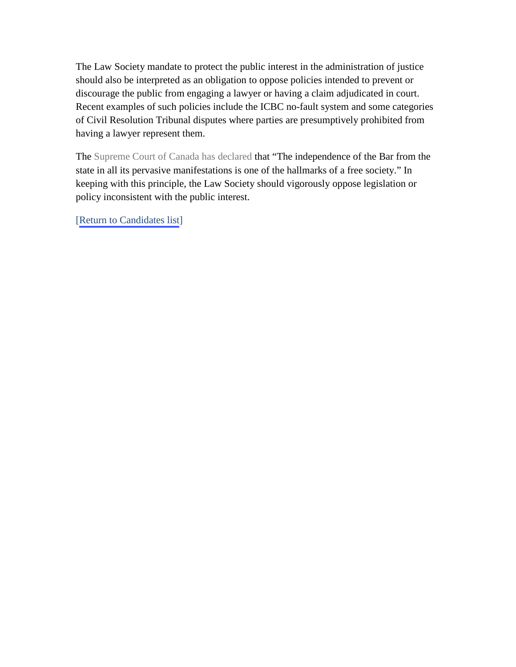The Law Society mandate to protect the public interest in the administration of justice should also be interpreted as an obligation to oppose policies intended to prevent or discourage the public from engaging a lawyer or having a claim adjudicated in court. Recent examples of such policies include the ICBC no-fault system and some categories of Civil Resolution Tribunal disputes where parties are presumptively prohibited from having a lawyer represent them.

The [Supreme Court of Canada](https://canlii.ca/t/1lpcn) has declared that "The independence of the Bar from the state in all its pervasive manifestations is one of the hallmarks of a free society." In keeping with this principle, the Law Society should vigorously oppose legislation or policy inconsistent with the public interest.

[[Return to Candidates list\]](#page-0-0)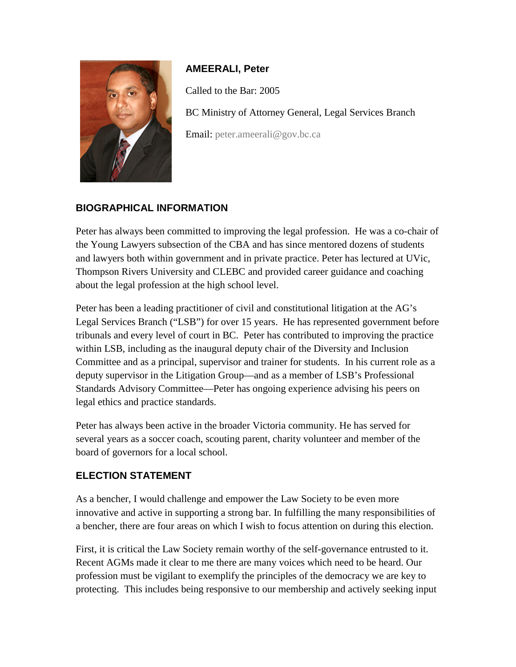<span id="page-6-0"></span>

#### **AMEERALI, Peter**

Called to the Bar: 2005

BC Ministry of Attorney General, Legal Services Branch

Email: [peter.ameerali@gov.b](mailto:peter.ameerali@gov.bc.ca)c.ca

# **BIOGRAPHICAL INFORMATION**

Peter has always been committed to improving the legal profession. He was a co-chair of the Young Lawyers subsection of the CBA and has since mentored dozens of students and lawyers both within government and in private practice. Peter has lectured at UVic, Thompson Rivers University and CLEBC and provided career guidance and coaching about the legal profession at the high school level.

Peter has been a leading practitioner of civil and constitutional litigation at the AG's Legal Services Branch ("LSB") for over 15 years. He has represented government before tribunals and every level of court in BC. Peter has contributed to improving the practice within LSB, including as the inaugural deputy chair of the Diversity and Inclusion Committee and as a principal, supervisor and trainer for students. In his current role as a deputy supervisor in the Litigation Group—and as a member of LSB's Professional Standards Advisory Committee—Peter has ongoing experience advising his peers on legal ethics and practice standards.

Peter has always been active in the broader Victoria community. He has served for several years as a soccer coach, scouting parent, charity volunteer and member of the board of governors for a local school.

#### **ELECTION STATEMENT**

As a bencher, I would challenge and empower the Law Society to be even more innovative and active in supporting a strong bar. In fulfilling the many responsibilities of a bencher, there are four areas on which I wish to focus attention on during this election.

First, it is critical the Law Society remain worthy of the self-governance entrusted to it. Recent AGMs made it clear to me there are many voices which need to be heard. Our profession must be vigilant to exemplify the principles of the democracy we are key to protecting. This includes being responsive to our membership and actively seeking input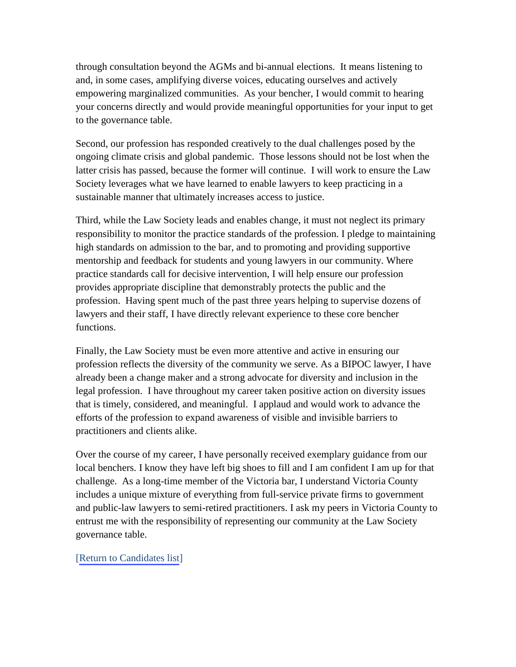through consultation beyond the AGMs and bi-annual elections. It means listening to and, in some cases, amplifying diverse voices, educating ourselves and actively empowering marginalized communities. As your bencher, I would commit to hearing your concerns directly and would provide meaningful opportunities for your input to get to the governance table.

Second, our profession has responded creatively to the dual challenges posed by the ongoing climate crisis and global pandemic. Those lessons should not be lost when the latter crisis has passed, because the former will continue. I will work to ensure the Law Society leverages what we have learned to enable lawyers to keep practicing in a sustainable manner that ultimately increases access to justice.

Third, while the Law Society leads and enables change, it must not neglect its primary responsibility to monitor the practice standards of the profession. I pledge to maintaining high standards on admission to the bar, and to promoting and providing supportive mentorship and feedback for students and young lawyers in our community. Where practice standards call for decisive intervention, I will help ensure our profession provides appropriate discipline that demonstrably protects the public and the profession. Having spent much of the past three years helping to supervise dozens of lawyers and their staff, I have directly relevant experience to these core bencher functions.

Finally, the Law Society must be even more attentive and active in ensuring our profession reflects the diversity of the community we serve. As a BIPOC lawyer, I have already been a change maker and a strong advocate for diversity and inclusion in the legal profession. I have throughout my career taken positive action on diversity issues that is timely, considered, and meaningful. I applaud and would work to advance the efforts of the profession to expand awareness of visible and invisible barriers to practitioners and clients alike.

Over the course of my career, I have personally received exemplary guidance from our local benchers. I know they have left big shoes to fill and I am confident I am up for that challenge. As a long-time member of the Victoria bar, I understand Victoria County includes a unique mixture of everything from full-service private firms to government and public-law lawyers to semi-retired practitioners. I ask my peers in Victoria County to entrust me with the responsibility of representing our community at the Law Society governance table.

#### [[Return to Candidates list\]](#page-0-0)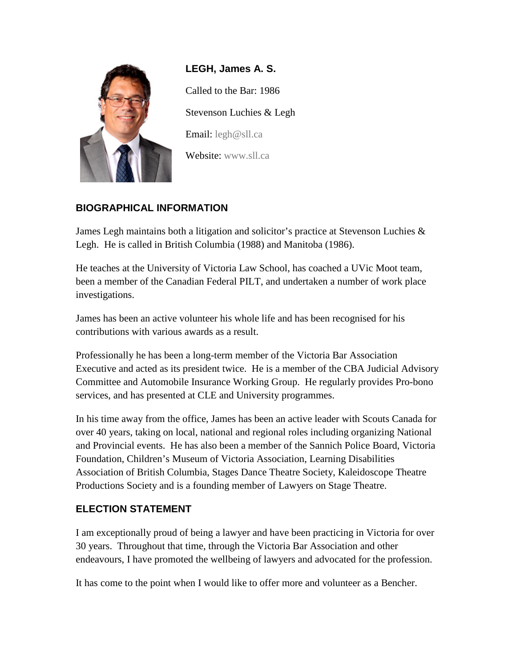<span id="page-8-0"></span>

**LEGH, James A. S.**  Called to the Bar: 1986 Stevenson Luchies & Legh Email: [legh@sll.ca](mailto:legh@sll.ca) Website: [www.sll.ca](http://www.sll.ca/)

# **BIOGRAPHICAL INFORMATION**

James Legh maintains both a litigation and solicitor's practice at Stevenson Luchies & Legh. He is called in British Columbia (1988) and Manitoba (1986).

He teaches at the University of Victoria Law School, has coached a UVic Moot team, been a member of the Canadian Federal PILT, and undertaken a number of work place investigations.

James has been an active volunteer his whole life and has been recognised for his contributions with various awards as a result.

Professionally he has been a long-term member of the Victoria Bar Association Executive and acted as its president twice. He is a member of the CBA Judicial Advisory Committee and Automobile Insurance Working Group. He regularly provides Pro-bono services, and has presented at CLE and University programmes.

In his time away from the office, James has been an active leader with Scouts Canada for over 40 years, taking on local, national and regional roles including organizing National and Provincial events. He has also been a member of the Sannich Police Board, Victoria Foundation, Children's Museum of Victoria Association, Learning Disabilities Association of British Columbia, Stages Dance Theatre Society, Kaleidoscope Theatre Productions Society and is a founding member of Lawyers on Stage Theatre.

#### **ELECTION STATEMENT**

I am exceptionally proud of being a lawyer and have been practicing in Victoria for over 30 years. Throughout that time, through the Victoria Bar Association and other endeavours, I have promoted the wellbeing of lawyers and advocated for the profession.

It has come to the point when I would like to offer more and volunteer as a Bencher.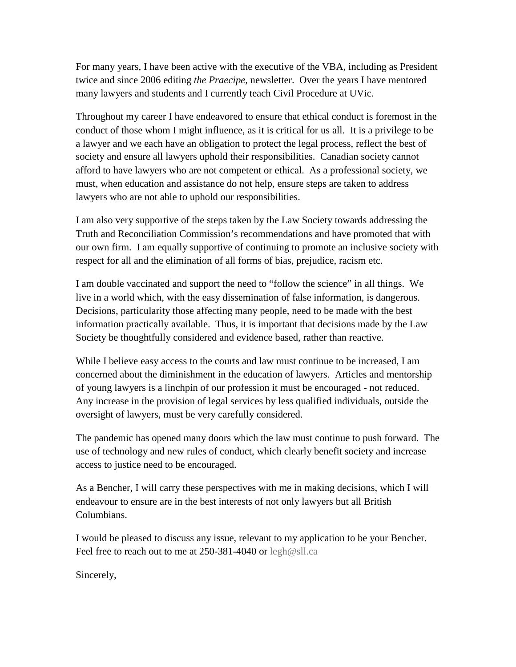For many years, I have been active with the executive of the VBA, including as President twice and since 2006 editing *the Praecipe,* newsletter. Over the years I have mentored many lawyers and students and I currently teach Civil Procedure at UVic.

Throughout my career I have endeavored to ensure that ethical conduct is foremost in the conduct of those whom I might influence, as it is critical for us all. It is a privilege to be a lawyer and we each have an obligation to protect the legal process, reflect the best of society and ensure all lawyers uphold their responsibilities. Canadian society cannot afford to have lawyers who are not competent or ethical. As a professional society, we must, when education and assistance do not help, ensure steps are taken to address lawyers who are not able to uphold our responsibilities.

I am also very supportive of the steps taken by the Law Society towards addressing the Truth and Reconciliation Commission's recommendations and have promoted that with our own firm. I am equally supportive of continuing to promote an inclusive society with respect for all and the elimination of all forms of bias, prejudice, racism etc.

I am double vaccinated and support the need to "follow the science" in all things. We live in a world which, with the easy dissemination of false information, is dangerous. Decisions, particularity those affecting many people, need to be made with the best information practically available. Thus, it is important that decisions made by the Law Society be thoughtfully considered and evidence based, rather than reactive.

While I believe easy access to the courts and law must continue to be increased, I am concerned about the diminishment in the education of lawyers. Articles and mentorship of young lawyers is a linchpin of our profession it must be encouraged - not reduced. Any increase in the provision of legal services by less qualified individuals, outside the oversight of lawyers, must be very carefully considered.

The pandemic has opened many doors which the law must continue to push forward. The use of technology and new rules of conduct, which clearly benefit society and increase access to justice need to be encouraged.

As a Bencher, I will carry these perspectives with me in making decisions, which I will endeavour to ensure are in the best interests of not only lawyers but all British Columbians.

I would be pleased to discuss any issue, relevant to my application to be your Bencher. Feel free to reach out to me at 250-381-4040 or [legh@sll.ca](mailto:legh@sll.ca)

Sincerely,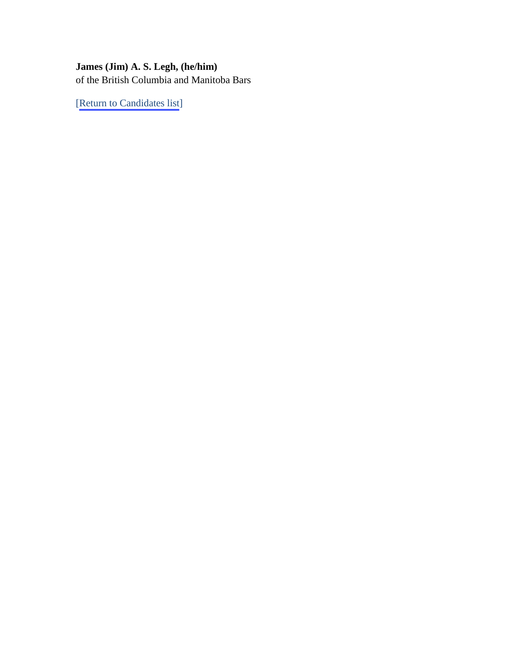# **James (Jim) A. S. Legh, (he/him)**  of the British Columbia and Manitoba Bars

[[Return to Candidates list\]](#page-0-0)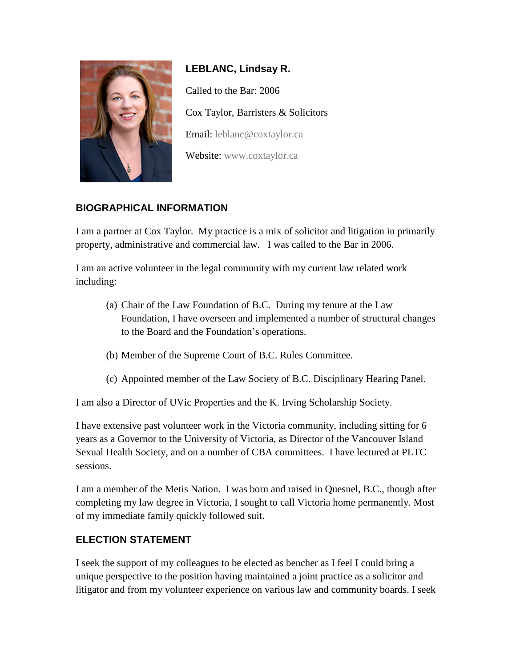<span id="page-11-0"></span>

**LEBLANC, Lindsay R.** Called to the Bar: 2006 Cox Taylor, Barristers & Solicitors Email: [leblanc@coxtaylor.ca](mailto:leblanc@coxtaylor.ca) Website: [www.coxtaylor.ca](http://www.coxtaylor.ca/)

# **BIOGRAPHICAL INFORMATION**

I am a partner at Cox Taylor. My practice is a mix of solicitor and litigation in primarily property, administrative and commercial law. I was called to the Bar in 2006.

I am an active volunteer in the legal community with my current law related work including:

- (a) Chair of the Law Foundation of B.C. During my tenure at the Law Foundation, I have overseen and implemented a number of structural changes to the Board and the Foundation's operations.
- (b) Member of the Supreme Court of B.C. Rules Committee.
- (c) Appointed member of the Law Society of B.C. Disciplinary Hearing Panel.

I am also a Director of UVic Properties and the K. Irving Scholarship Society.

I have extensive past volunteer work in the Victoria community, including sitting for 6 years as a Governor to the University of Victoria, as Director of the Vancouver Island Sexual Health Society, and on a number of CBA committees. I have lectured at PLTC sessions.

I am a member of the Metis Nation. I was born and raised in Quesnel, B.C., though after completing my law degree in Victoria, I sought to call Victoria home permanently. Most of my immediate family quickly followed suit.

# **ELECTION STATEMENT**

I seek the support of my colleagues to be elected as bencher as I feel I could bring a unique perspective to the position having maintained a joint practice as a solicitor and litigator and from my volunteer experience on various law and community boards. I seek